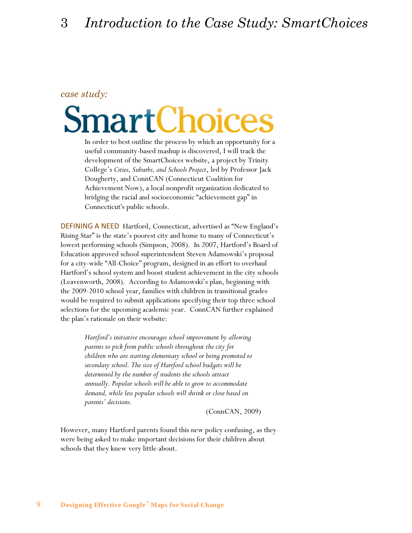## *case study:*

## artChoice

In order to best outline the process by which an opportunity for a useful community-based mashup is discovered, I will track the development of the SmartChoices website, a project by Trinity College"s *Cities, Suburbs, and Schools Project*, led by Professor Jack Dougherty, and ConnCAN (Connecticut Coalition for Achievement Now), a local nonprofit organization dedicated to bridging the racial and socioeconomic "achievement gap" in Connecticut's public schools.

DEFINING A NEED Hartford, Connecticut, advertised as "New England"s Rising Star" is the state's poorest city and home to many of Connecticut's lowest performing schools (Simpson, 2008). In 2007, Hartford's Board of Education approved school superintendent Steven Adamowski's proposal for a city-wide "All-Choice" program, designed in an effort to overhaul Hartford"s school system and boost student achievement in the city schools (Leavenworth, 2008). According to Adamowski"s plan, beginning with the 2009-2010 school year, families with children in transitional grades would be required to submit applications specifying their top three school selections for the upcoming academic year. ConnCAN further explained the plan"s rationale on their website:

> *Hartford's initiative encourages school improvement by allowing parents to pick from public schools throughout the city for children who are starting elementary school or being promoted to secondary school. The size of Hartford school budgets will be determined by the number of students the schools attract annually. Popular schools will be able to grow to accommodate demand, while less popular schools will shrink or close based on parents' decisions.*

> > (ConnCAN, 2009)

However, many Hartford parents found this new policy confusing, as they were being asked to make important decisions for their children about schools that they knew very little about.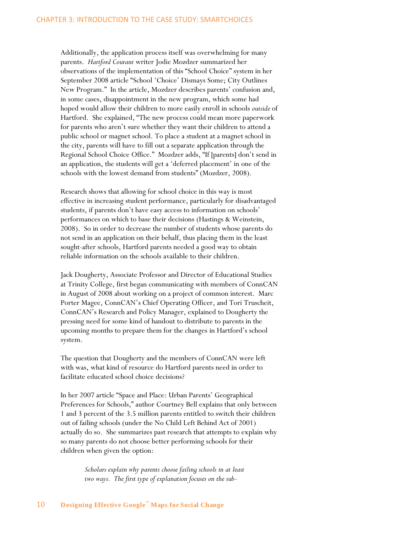Additionally, the application process itself was overwhelming for many parents. *Hartford Courant* writer Jodie Mozdzer summarized her observations of the implementation of this "School Choice" system in her September 2008 article "School "Choice" Dismays Some; City Outlines New Program." In the article, Mozdzer describes parents' confusion and, in some cases, disappointment in the new program, which some had hoped would allow their children to more easily enroll in schools *outside* of Hartford. She explained, "The new process could mean more paperwork for parents who aren"t sure whether they want their children to attend a public school or magnet school. To place a student at a magnet school in the city, parents will have to fill out a separate application through the Regional School Choice Office." Mozdzer adds, "If [parents] don't send in an application, the students will get a 'deferred placement' in one of the schools with the lowest demand from students" (Mozdzer, 2008).

Research shows that allowing for school choice in this way is most effective in increasing student performance, particularly for disadvantaged students, if parents don't have easy access to information on schools' performances on which to base their decisions (Hastings & Weinstein, 2008). So in order to decrease the number of students whose parents do not send in an application on their behalf, thus placing them in the least sought-after schools, Hartford parents needed a good way to obtain reliable information on the schools available to their children.

Jack Dougherty, Associate Professor and Director of Educational Studies at Trinity College, first began communicating with members of ConnCAN in August of 2008 about working on a project of common interest. Marc Porter Magee, ConnCAN"s Chief Operating Officer, and Tori Truscheit, ConnCAN"s Research and Policy Manager, explained to Dougherty the pressing need for some kind of handout to distribute to parents in the upcoming months to prepare them for the changes in Hartford"s school system.

The question that Dougherty and the members of ConnCAN were left with was, what kind of resource do Hartford parents need in order to facilitate educated school choice decisions?

In her 2007 article "Space and Place: Urban Parents' Geographical Preferences for Schools," author Courtney Bell explains that only between 1 and 3 percent of the 3.5 million parents entitled to switch their children out of failing schools (under the No Child Left Behind Act of 2001) actually do so. She summarizes past research that attempts to explain why so many parents do not choose better performing schools for their children when given the option:

> *Scholars explain why parents choose failing schools in at least two ways. The first type of explanation focuses on the sub-*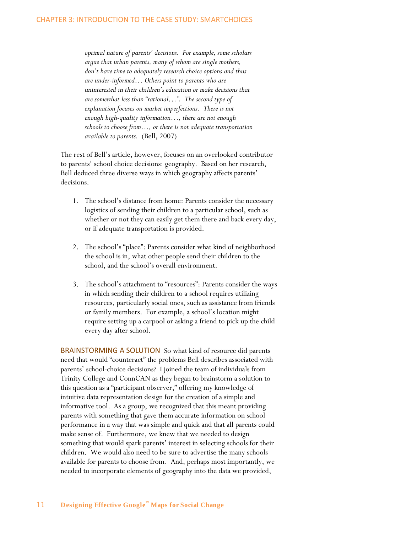*optimal nature of parents' decisions. For example, some scholars argue that urban parents, many of whom are single mothers, don't have time to adequately research choice options and thus are under-informed… Others point to parents who are uninterested in their children's education or make decisions that are somewhat less than "rational…". The second type of explanation focuses on market imperfections. There is not enough high-quality information…, there are not enough schools to choose from…, or there is not adequate transportation available to parents.* (Bell, 2007)

The rest of Bell"s article, however, focuses on an overlooked contributor to parents' school choice decisions: geography. Based on her research, Bell deduced three diverse ways in which geography affects parents' decisions.

- 1. The school"s distance from home: Parents consider the necessary logistics of sending their children to a particular school, such as whether or not they can easily get them there and back every day, or if adequate transportation is provided.
- 2. The school"s "place": Parents consider what kind of neighborhood the school is in, what other people send their children to the school, and the school's overall environment.
- 3. The school"s attachment to "resources": Parents consider the ways in which sending their children to a school requires utilizing resources, particularly social ones, such as assistance from friends or family members. For example, a school"s location might require setting up a carpool or asking a friend to pick up the child every day after school.

BRAINSTORMING A SOLUTION So what kind of resource did parents need that would "counteract" the problems Bell describes associated with parents' school-choice decisions? I joined the team of individuals from Trinity College and ConnCAN as they began to brainstorm a solution to this question as a "participant observer," offering my knowledge of intuitive data representation design for the creation of a simple and informative tool. As a group, we recognized that this meant providing parents with something that gave them accurate information on school performance in a way that was simple and quick and that all parents could make sense of. Furthermore, we knew that we needed to design something that would spark parents' interest in selecting schools for their children. We would also need to be sure to advertise the many schools available for parents to choose from. And, perhaps most importantly, we needed to incorporate elements of geography into the data we provided,